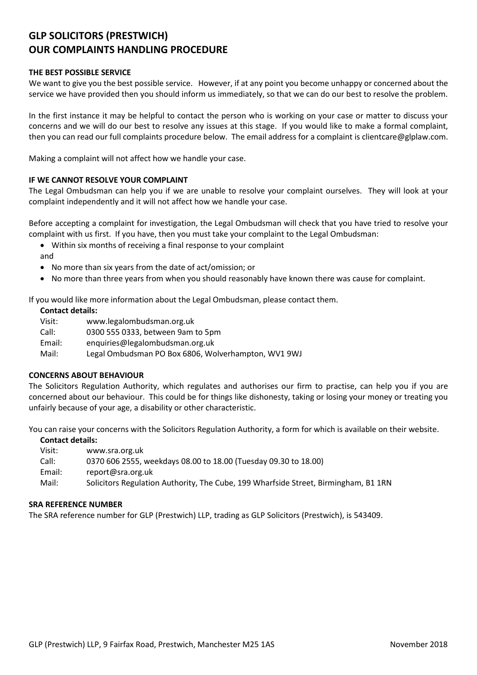# **GLP SOLICITORS (PRESTWICH) OUR COMPLAINTS HANDLING PROCEDURE**

## **THE BEST POSSIBLE SERVICE**

We want to give you the best possible service. However, if at any point you become unhappy or concerned about the service we have provided then you should inform us immediately, so that we can do our best to resolve the problem.

In the first instance it may be helpful to contact the person who is working on your case or matter to discuss your concerns and we will do our best to resolve any issues at this stage. If you would like to make a formal complaint, then you can read our full complaints procedure below. The email address for a complaint is clientcare@glplaw.com.

Making a complaint will not affect how we handle your case.

## **IF WE CANNOT RESOLVE YOUR COMPLAINT**

The Legal Ombudsman can help you if we are unable to resolve your complaint ourselves. They will look at your complaint independently and it will not affect how we handle your case.

Before accepting a complaint for investigation, the Legal Ombudsman will check that you have tried to resolve your complaint with us first. If you have, then you must take your complaint to the Legal Ombudsman:

- Within six months of receiving a final response to your complaint
- and
- No more than six years from the date of act/omission; or
- No more than three years from when you should reasonably have known there was cause for complaint.

If you would like more information about the Legal Ombudsman, please contact them.

## **Contact details:**

Visit: www.legalombudsman.org.uk Call: 0300 555 0333, between 9am to 5pm Email: enquiries@legalombudsman.org.uk Mail: Legal Ombudsman PO Box 6806, Wolverhampton, WV1 9WJ

## **CONCERNS ABOUT BEHAVIOUR**

The Solicitors Regulation Authority, which regulates and authorises our firm to practise, can help you if you are concerned about our behaviour. This could be for things like dishonesty, taking or losing your money or treating you unfairly because of your age, a disability or other characteristic.

You can raise your concerns with the Solicitors Regulation Authority, a form for which is available on their website.

#### **Contact details:**

- Visit: www.sra.org.uk
- Call: 0370 606 2555, weekdays 08.00 to 18.00 (Tuesday 09.30 to 18.00)
- Email: report@sra.org.uk
- Mail: Solicitors Regulation Authority, The Cube, 199 Wharfside Street, Birmingham, B1 1RN

#### **SRA REFERENCE NUMBER**

The SRA reference number for GLP (Prestwich) LLP, trading as GLP Solicitors (Prestwich), is 543409.